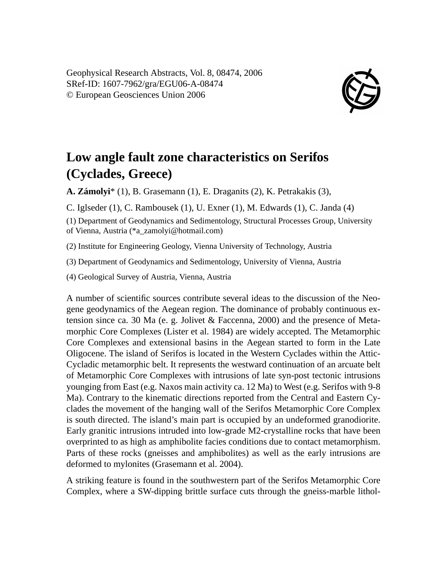Geophysical Research Abstracts, Vol. 8, 08474, 2006 SRef-ID: 1607-7962/gra/EGU06-A-08474 © European Geosciences Union 2006



## **Low angle fault zone characteristics on Serifos (Cyclades, Greece)**

**A. Zámolyi**\* (1), B. Grasemann (1), E. Draganits (2), K. Petrakakis (3),

C. Iglseder (1), C. Rambousek (1), U. Exner (1), M. Edwards (1), C. Janda (4)

(1) Department of Geodynamics and Sedimentology, Structural Processes Group, University of Vienna, Austria (\*a\_zamolyi@hotmail.com)

(2) Institute for Engineering Geology, Vienna University of Technology, Austria

(3) Department of Geodynamics and Sedimentology, University of Vienna, Austria

(4) Geological Survey of Austria, Vienna, Austria

A number of scientific sources contribute several ideas to the discussion of the Neogene geodynamics of the Aegean region. The dominance of probably continuous extension since ca. 30 Ma (e. g. Jolivet & Faccenna, 2000) and the presence of Metamorphic Core Complexes (Lister et al. 1984) are widely accepted. The Metamorphic Core Complexes and extensional basins in the Aegean started to form in the Late Oligocene. The island of Serifos is located in the Western Cyclades within the Attic-Cycladic metamorphic belt. It represents the westward continuation of an arcuate belt of Metamorphic Core Complexes with intrusions of late syn-post tectonic intrusions younging from East (e.g. Naxos main activity ca. 12 Ma) to West (e.g. Serifos with 9-8 Ma). Contrary to the kinematic directions reported from the Central and Eastern Cyclades the movement of the hanging wall of the Serifos Metamorphic Core Complex is south directed. The island's main part is occupied by an undeformed granodiorite. Early granitic intrusions intruded into low-grade M2-crystalline rocks that have been overprinted to as high as amphibolite facies conditions due to contact metamorphism. Parts of these rocks (gneisses and amphibolites) as well as the early intrusions are deformed to mylonites (Grasemann et al. 2004).

A striking feature is found in the southwestern part of the Serifos Metamorphic Core Complex, where a SW-dipping brittle surface cuts through the gneiss-marble lithol